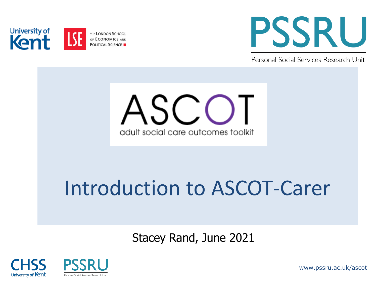



Personal Social Services Research Unit



Stacey Rand, June 2021





www.pssru.ac.uk/ascot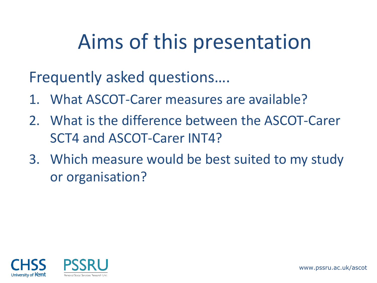## Aims of this presentation

Frequently asked questions….

- 1. What ASCOT-Carer measures are available?
- 2. What is the difference between the ASCOT-Carer SCT4 and ASCOT-Carer INT4?
- 3. Which measure would be best suited to my study or organisation?



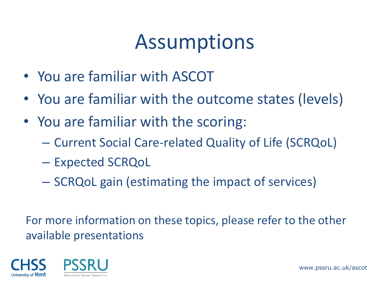### Assumptions

- You are familiar with ASCOT
- You are familiar with the outcome states (levels)
- You are familiar with the scoring:
	- Current Social Care-related Quality of Life (SCRQoL)
	- Expected SCRQoL
	- SCRQoL gain (estimating the impact of services)

For more information on these topics, please refer to the other available presentations

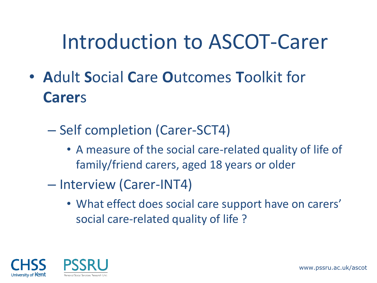#### Introduction to ASCOT-Carer

- **A**dult **S**ocial **C**are **O**utcomes **T**oolkit for **Carer**s
	- Self completion (Carer-SCT4)
		- A measure of the social care-related quality of life of family/friend carers, aged 18 years or older
	- Interview (Carer-INT4)
		- What effect does social care support have on carers' social care-related quality of life ?

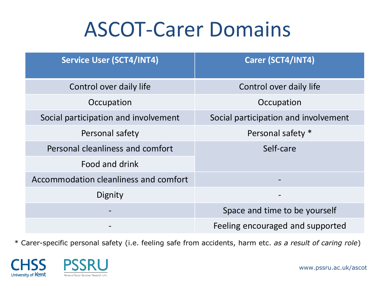#### ASCOT-Carer Domains

| <b>Service User (SCT4/INT4)</b>       | Carer (SCT4/INT4)                    |  |
|---------------------------------------|--------------------------------------|--|
| Control over daily life               | Control over daily life              |  |
| Occupation                            | Occupation                           |  |
| Social participation and involvement  | Social participation and involvement |  |
| Personal safety                       | Personal safety *                    |  |
| Personal cleanliness and comfort      | Self-care                            |  |
| Food and drink                        |                                      |  |
| Accommodation cleanliness and comfort |                                      |  |
| Dignity                               | $\overline{\phantom{m}}$             |  |
|                                       | Space and time to be yourself        |  |
|                                       | Feeling encouraged and supported     |  |

\* Carer-specific personal safety (i.e. feeling safe from accidents, harm etc. *as a result of caring role*)

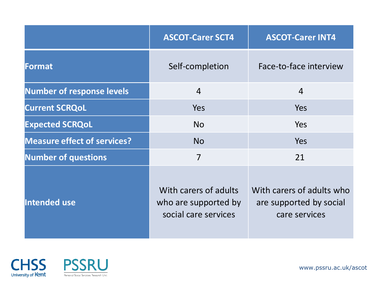|                                    | <b>ASCOT-Carer SCT4</b>                                               | <b>ASCOT-Carer INT4</b>                                               |
|------------------------------------|-----------------------------------------------------------------------|-----------------------------------------------------------------------|
| Format                             | Self-completion                                                       | Face-to-face interview                                                |
| <b>Number of response levels</b>   | $\overline{4}$                                                        | $\overline{4}$                                                        |
| <b>Current SCRQoL</b>              | Yes                                                                   | Yes                                                                   |
| <b>Expected SCRQoL</b>             | <b>No</b>                                                             | Yes                                                                   |
| <b>Measure effect of services?</b> | <b>No</b>                                                             | Yes                                                                   |
| <b>Number of questions</b>         | $\overline{7}$                                                        | 21                                                                    |
| Intended use                       | With carers of adults<br>who are supported by<br>social care services | With carers of adults who<br>are supported by social<br>care services |



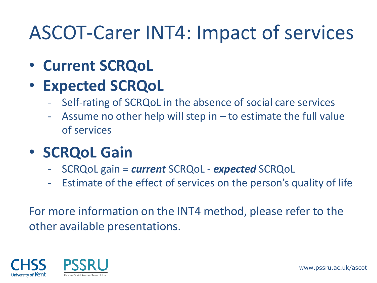#### ASCOT-Carer INT4: Impact of services

- **Current SCRQoL**
- **Expected SCRQoL**
	- Self-rating of SCRQoL in the absence of social care services
	- Assume no other help will step in  $-$  to estimate the full value of services
- **SCRQoL Gain**
	- SCRQoL gain = *current* SCRQoL *expected* SCRQoL
	- Estimate of the effect of services on the person's quality of life

For more information on the INT4 method, please refer to the other available presentations.



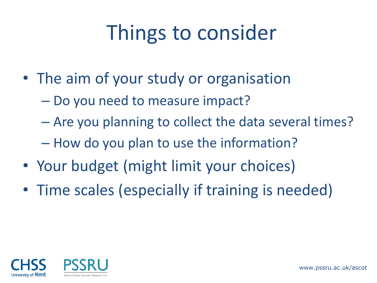# Things to consider

- The aim of your study or organisation
	- Do you need to measure impact?
	- Are you planning to collect the data several times?
	- How do you plan to use the information?
- Your budget (might limit your choices)
- Time scales (especially if training is needed)